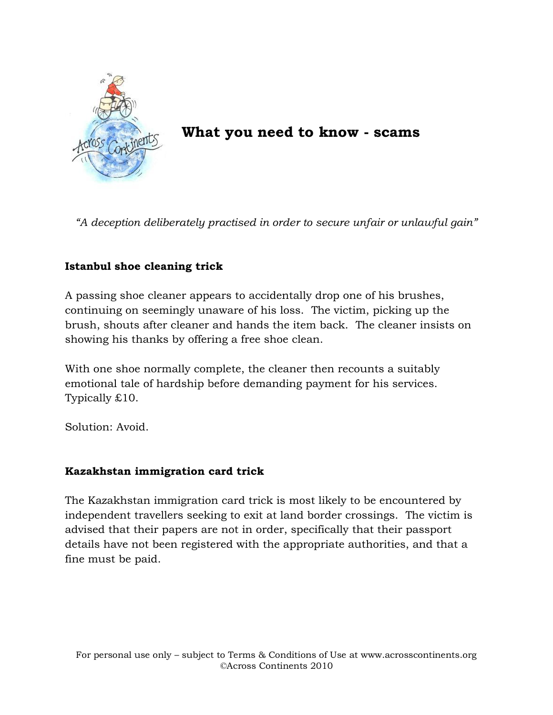

**What you need to know - scams**

*"A deception deliberately practised in order to secure unfair or unlawful gain"*

## **Istanbul shoe cleaning trick**

A passing shoe cleaner appears to accidentally drop one of his brushes, continuing on seemingly unaware of his loss. The victim, picking up the brush, shouts after cleaner and hands the item back. The cleaner insists on showing his thanks by offering a free shoe clean.

With one shoe normally complete, the cleaner then recounts a suitably emotional tale of hardship before demanding payment for his services. Typically £10.

Solution: Avoid.

## **Kazakhstan immigration card trick**

The Kazakhstan immigration card trick is most likely to be encountered by independent travellers seeking to exit at land border crossings. The victim is advised that their papers are not in order, specifically that their passport details have not been registered with the appropriate authorities, and that a fine must be paid.